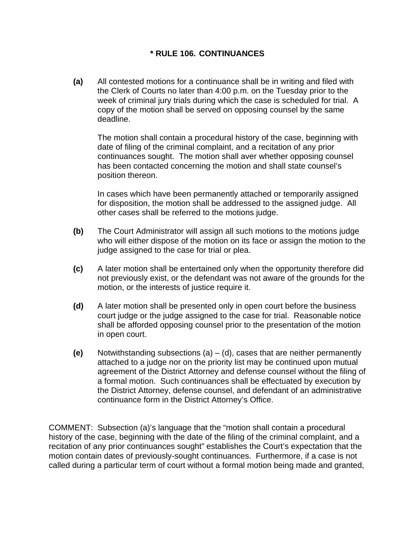## **\* RULE 106. CONTINUANCES**

**(a)** All contested motions for a continuance shall be in writing and filed with the Clerk of Courts no later than 4:00 p.m. on the Tuesday prior to the week of criminal jury trials during which the case is scheduled for trial. A copy of the motion shall be served on opposing counsel by the same deadline.

 The motion shall contain a procedural history of the case, beginning with date of filing of the criminal complaint, and a recitation of any prior continuances sought. The motion shall aver whether opposing counsel has been contacted concerning the motion and shall state counsel's position thereon.

 In cases which have been permanently attached or temporarily assigned for disposition, the motion shall be addressed to the assigned judge. All other cases shall be referred to the motions judge.

- **(b)** The Court Administrator will assign all such motions to the motions judge who will either dispose of the motion on its face or assign the motion to the judge assigned to the case for trial or plea.
- **(c)** A later motion shall be entertained only when the opportunity therefore did not previously exist, or the defendant was not aware of the grounds for the motion, or the interests of justice require it.
- **(d)** A later motion shall be presented only in open court before the business court judge or the judge assigned to the case for trial. Reasonable notice shall be afforded opposing counsel prior to the presentation of the motion in open court.
- **(e)** Notwithstanding subsections (a) (d), cases that are neither permanently attached to a judge nor on the priority list may be continued upon mutual agreement of the District Attorney and defense counsel without the filing of a formal motion. Such continuances shall be effectuated by execution by the District Attorney, defense counsel, and defendant of an administrative continuance form in the District Attorney's Office.

COMMENT: Subsection (a)'s language that the "motion shall contain a procedural history of the case, beginning with the date of the filing of the criminal complaint, and a recitation of any prior continuances sought" establishes the Court's expectation that the motion contain dates of previously-sought continuances. Furthermore, if a case is not called during a particular term of court without a formal motion being made and granted,